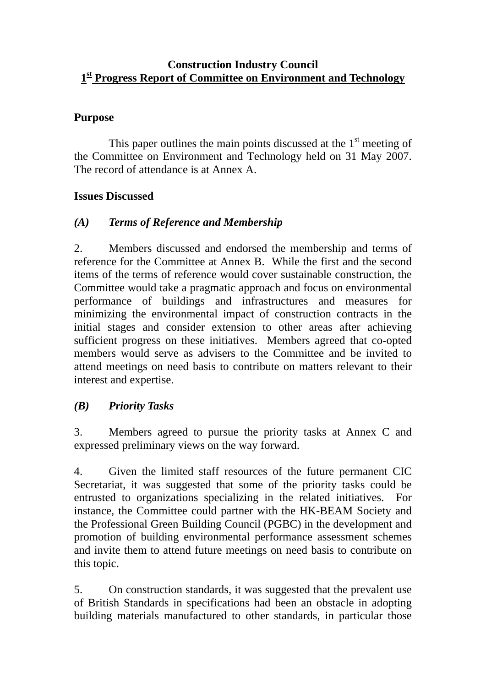#### **Construction Industry Council 1st Progress Report of Committee on Environment and Technology**

## **Purpose**

This paper outlines the main points discussed at the  $1<sup>st</sup>$  meeting of the Committee on Environment and Technology held on 31 May 2007. The record of attendance is at Annex A.

## **Issues Discussed**

# *(A) Terms of Reference and Membership*

2. Members discussed and endorsed the membership and terms of reference for the Committee at Annex B. While the first and the second items of the terms of reference would cover sustainable construction, the Committee would take a pragmatic approach and focus on environmental performance of buildings and infrastructures and measures for minimizing the environmental impact of construction contracts in the initial stages and consider extension to other areas after achieving sufficient progress on these initiatives. Members agreed that co-opted members would serve as advisers to the Committee and be invited to attend meetings on need basis to contribute on matters relevant to their interest and expertise.

# *(B) Priority Tasks*

3. Members agreed to pursue the priority tasks at Annex C and expressed preliminary views on the way forward.

4. Given the limited staff resources of the future permanent CIC Secretariat, it was suggested that some of the priority tasks could be entrusted to organizations specializing in the related initiatives. For instance, the Committee could partner with the HK-BEAM Society and the Professional Green Building Council (PGBC) in the development and promotion of building environmental performance assessment schemes and invite them to attend future meetings on need basis to contribute on this topic.

5. On construction standards, it was suggested that the prevalent use of British Standards in specifications had been an obstacle in adopting building materials manufactured to other standards, in particular those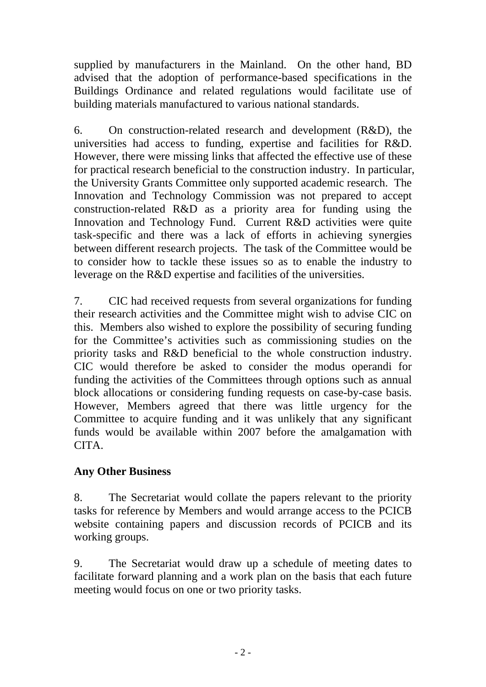supplied by manufacturers in the Mainland. On the other hand, BD advised that the adoption of performance-based specifications in the Buildings Ordinance and related regulations would facilitate use of building materials manufactured to various national standards.

6. On construction-related research and development (R&D), the universities had access to funding, expertise and facilities for R&D. However, there were missing links that affected the effective use of these for practical research beneficial to the construction industry. In particular, the University Grants Committee only supported academic research. The Innovation and Technology Commission was not prepared to accept construction-related R&D as a priority area for funding using the Innovation and Technology Fund. Current R&D activities were quite task-specific and there was a lack of efforts in achieving synergies between different research projects. The task of the Committee would be to consider how to tackle these issues so as to enable the industry to leverage on the R&D expertise and facilities of the universities.

7. CIC had received requests from several organizations for funding their research activities and the Committee might wish to advise CIC on this. Members also wished to explore the possibility of securing funding for the Committee's activities such as commissioning studies on the priority tasks and R&D beneficial to the whole construction industry. CIC would therefore be asked to consider the modus operandi for funding the activities of the Committees through options such as annual block allocations or considering funding requests on case-by-case basis. However, Members agreed that there was little urgency for the Committee to acquire funding and it was unlikely that any significant funds would be available within 2007 before the amalgamation with CITA.

# **Any Other Business**

8. The Secretariat would collate the papers relevant to the priority tasks for reference by Members and would arrange access to the PCICB website containing papers and discussion records of PCICB and its working groups.

9. The Secretariat would draw up a schedule of meeting dates to facilitate forward planning and a work plan on the basis that each future meeting would focus on one or two priority tasks.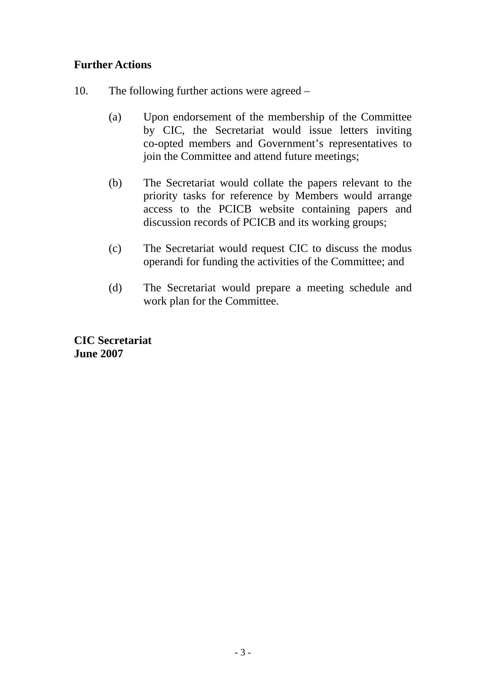#### **Further Actions**

- 10. The following further actions were agreed
	- (a) Upon endorsement of the membership of the Committee by CIC, the Secretariat would issue letters inviting co-opted members and Government's representatives to join the Committee and attend future meetings;
	- (b) The Secretariat would collate the papers relevant to the priority tasks for reference by Members would arrange access to the PCICB website containing papers and discussion records of PCICB and its working groups;
	- (c) The Secretariat would request CIC to discuss the modus operandi for funding the activities of the Committee; and
	- (d) The Secretariat would prepare a meeting schedule and work plan for the Committee.

**CIC Secretariat June 2007**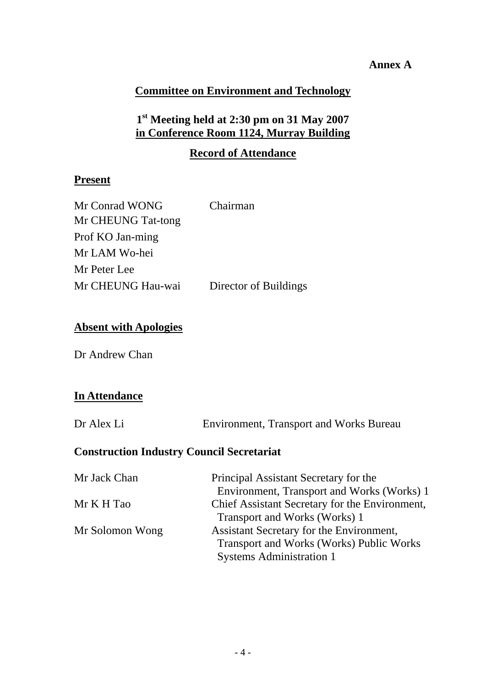#### **Annex A**

## **Committee on Environment and Technology**

# **1st Meeting held at 2:30 pm on 31 May 2007 in Conference Room 1124, Murray Building**

#### **Record of Attendance**

#### **Present**

| Mr Conrad WONG     | Chairman              |
|--------------------|-----------------------|
| Mr CHEUNG Tat-tong |                       |
| Prof KO Jan-ming   |                       |
| Mr LAM Wo-hei      |                       |
| Mr Peter Lee       |                       |
| Mr CHEUNG Hau-wai  | Director of Buildings |

#### **Absent with Apologies**

Dr Andrew Chan

#### **In Attendance**

| Dr Alex Li |  | <b>Environment, Transport and Works Bureau</b> |
|------------|--|------------------------------------------------|
|            |  |                                                |

#### **Construction Industry Council Secretariat**

| Principal Assistant Secretary for the           |  |
|-------------------------------------------------|--|
| Environment, Transport and Works (Works) 1      |  |
| Chief Assistant Secretary for the Environment,  |  |
| Transport and Works (Works) 1                   |  |
| Assistant Secretary for the Environment,        |  |
| <b>Transport and Works (Works) Public Works</b> |  |
| <b>Systems Administration 1</b>                 |  |
|                                                 |  |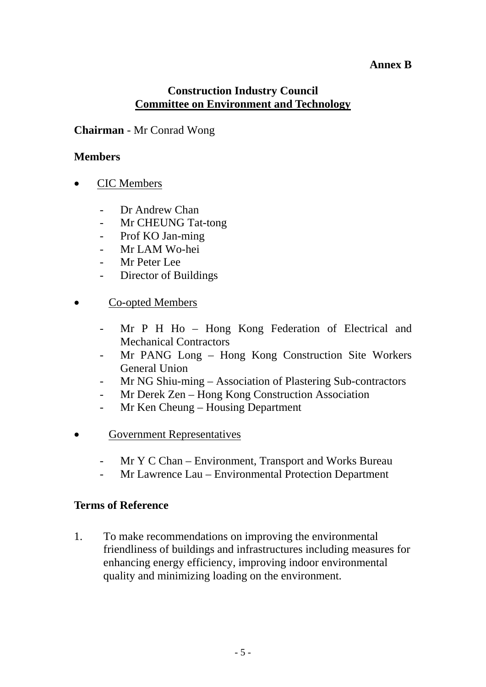#### **Annex B**

#### **Construction Industry Council Committee on Environment and Technology**

#### **Chairman** - Mr Conrad Wong

#### **Members**

- CIC Members
	- Dr Andrew Chan
	- Mr CHEUNG Tat-tong
	- Prof KO Jan-ming
	- Mr LAM Wo-hei
	- Mr Peter Lee
	- Director of Buildings
- Co-opted Members
	- Mr P H Ho Hong Kong Federation of Electrical and Mechanical Contractors
	- Mr PANG Long Hong Kong Construction Site Workers General Union
	- Mr NG Shiu-ming Association of Plastering Sub-contractors
	- Mr Derek Zen Hong Kong Construction Association
	- Mr Ken Cheung Housing Department
- Government Representatives
	- Mr Y C Chan Environment, Transport and Works Bureau
	- Mr Lawrence Lau Environmental Protection Department

#### **Terms of Reference**

1. To make recommendations on improving the environmental friendliness of buildings and infrastructures including measures for enhancing energy efficiency, improving indoor environmental quality and minimizing loading on the environment.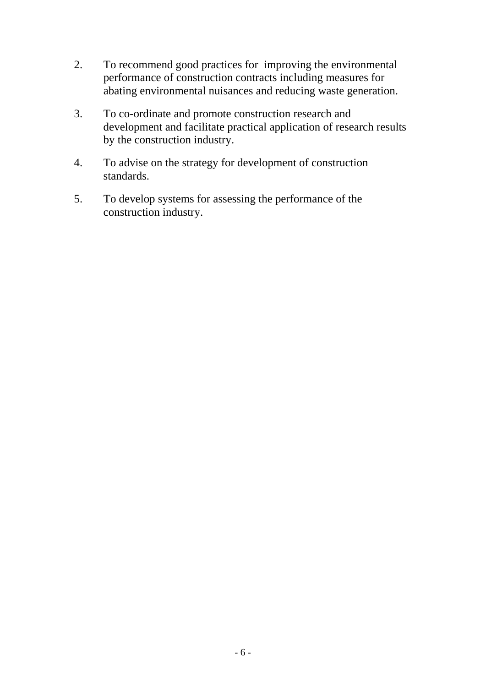- 2. To recommend good practices for improving the environmental performance of construction contracts including measures for abating environmental nuisances and reducing waste generation.
- 3. To co-ordinate and promote construction research and development and facilitate practical application of research results by the construction industry.
- 4. To advise on the strategy for development of construction standards.
- 5. To develop systems for assessing the performance of the construction industry.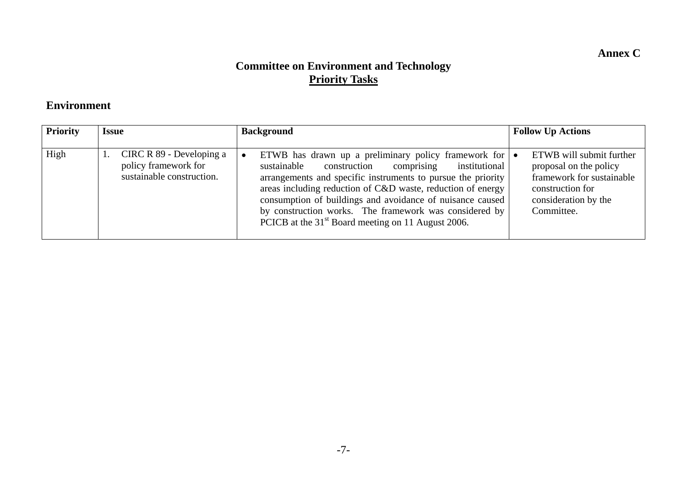**Annex C** 

# **Committee on Environment and Technology Priority Tasks**

#### **Environment**

| <b>Priority</b> | <b>Issue</b>                                                                  | <b>Background</b>                                                                                                                                                                                                                                                                                                                                                                                                                                    | <b>Follow Up Actions</b>                                                                                                                  |
|-----------------|-------------------------------------------------------------------------------|------------------------------------------------------------------------------------------------------------------------------------------------------------------------------------------------------------------------------------------------------------------------------------------------------------------------------------------------------------------------------------------------------------------------------------------------------|-------------------------------------------------------------------------------------------------------------------------------------------|
| High            | CIRC R 89 - Developing a<br>policy framework for<br>sustainable construction. | ETWB has drawn up a preliminary policy framework for $\bullet$<br>construction<br>sustainable<br>institutional<br>comprising<br>arrangements and specific instruments to pursue the priority<br>areas including reduction of C&D waste, reduction of energy<br>consumption of buildings and avoidance of nuisance caused<br>by construction works. The framework was considered by<br>PCICB at the 31 <sup>st</sup> Board meeting on 11 August 2006. | ETWB will submit further<br>proposal on the policy<br>framework for sustainable<br>construction for<br>consideration by the<br>Committee. |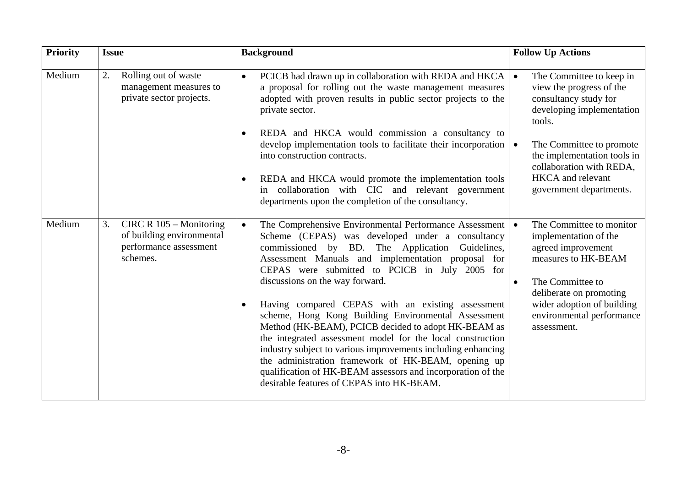| <b>Priority</b> | <b>Issue</b>                                                                                       | <b>Background</b>                                                                                                                                                                                                                                                                                                                                                                                                                                                                                                                                                                                                                                                                                                                                                                                         | <b>Follow Up Actions</b>                                                                                                                                                                                                             |
|-----------------|----------------------------------------------------------------------------------------------------|-----------------------------------------------------------------------------------------------------------------------------------------------------------------------------------------------------------------------------------------------------------------------------------------------------------------------------------------------------------------------------------------------------------------------------------------------------------------------------------------------------------------------------------------------------------------------------------------------------------------------------------------------------------------------------------------------------------------------------------------------------------------------------------------------------------|--------------------------------------------------------------------------------------------------------------------------------------------------------------------------------------------------------------------------------------|
| Medium          | 2.<br>Rolling out of waste<br>management measures to<br>private sector projects.                   | PCICB had drawn up in collaboration with REDA and HKCA<br>$\bullet$<br>a proposal for rolling out the waste management measures<br>adopted with proven results in public sector projects to the<br>private sector.                                                                                                                                                                                                                                                                                                                                                                                                                                                                                                                                                                                        | The Committee to keep in<br>view the progress of the<br>consultancy study for<br>developing implementation<br>tools.                                                                                                                 |
|                 |                                                                                                    | REDA and HKCA would commission a consultancy to<br>$\bullet$<br>develop implementation tools to facilitate their incorporation  <br>into construction contracts.<br>REDA and HKCA would promote the implementation tools<br>$\bullet$<br>in collaboration with CIC and relevant government<br>departments upon the completion of the consultancy.                                                                                                                                                                                                                                                                                                                                                                                                                                                         | The Committee to promote<br>the implementation tools in<br>collaboration with REDA.<br><b>HKCA</b> and relevant<br>government departments.                                                                                           |
| Medium          | 3.<br>CIRC R $105 -$ Monitoring<br>of building environmental<br>performance assessment<br>schemes. | The Comprehensive Environmental Performance Assessment<br>$\bullet$<br>Scheme (CEPAS) was developed under a consultancy<br>commissioned by BD. The Application<br>Guidelines,<br>Assessment Manuals and implementation proposal for<br>CEPAS were submitted to PCICB in July 2005 for<br>discussions on the way forward.<br>Having compared CEPAS with an existing assessment<br>$\bullet$<br>scheme, Hong Kong Building Environmental Assessment<br>Method (HK-BEAM), PCICB decided to adopt HK-BEAM as<br>the integrated assessment model for the local construction<br>industry subject to various improvements including enhancing<br>the administration framework of HK-BEAM, opening up<br>qualification of HK-BEAM assessors and incorporation of the<br>desirable features of CEPAS into HK-BEAM. | The Committee to monitor<br>implementation of the<br>agreed improvement<br>measures to HK-BEAM<br>The Committee to<br>$\bullet$<br>deliberate on promoting<br>wider adoption of building<br>environmental performance<br>assessment. |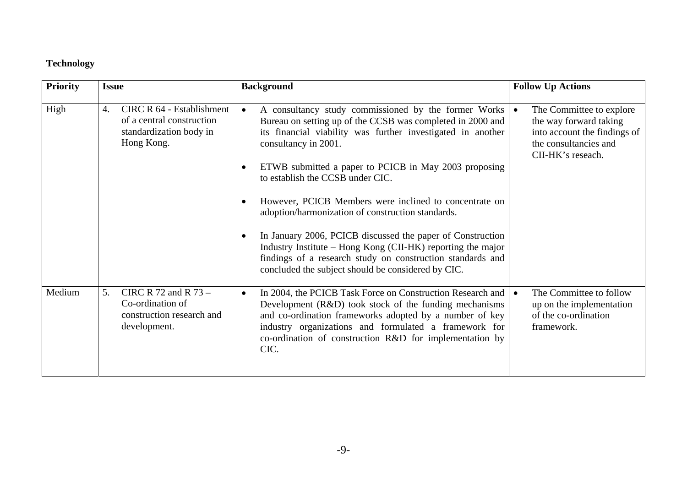## **Technology**

| <b>Priority</b> | <b>Issue</b>                                                                                                 | <b>Background</b>                                                                                                                                                                                                                                                                                                                                                                                                                                                                                                                                                                                                                                                                             | <b>Follow Up Actions</b>                                                                                                         |
|-----------------|--------------------------------------------------------------------------------------------------------------|-----------------------------------------------------------------------------------------------------------------------------------------------------------------------------------------------------------------------------------------------------------------------------------------------------------------------------------------------------------------------------------------------------------------------------------------------------------------------------------------------------------------------------------------------------------------------------------------------------------------------------------------------------------------------------------------------|----------------------------------------------------------------------------------------------------------------------------------|
| High            | <b>CIRC R 64 - Establishment</b><br>4.<br>of a central construction<br>standardization body in<br>Hong Kong. | A consultancy study commissioned by the former Works $\bullet$<br>$\bullet$<br>Bureau on setting up of the CCSB was completed in 2000 and<br>its financial viability was further investigated in another<br>consultancy in 2001.<br>ETWB submitted a paper to PCICB in May 2003 proposing<br>to establish the CCSB under CIC.<br>However, PCICB Members were inclined to concentrate on<br>adoption/harmonization of construction standards.<br>In January 2006, PCICB discussed the paper of Construction<br>Industry Institute – Hong Kong (CII-HK) reporting the major<br>findings of a research study on construction standards and<br>concluded the subject should be considered by CIC. | The Committee to explore<br>the way forward taking<br>into account the findings of<br>the consultancies and<br>CII-HK's reseach. |
| Medium          | CIRC R 72 and R $73 -$<br>5.<br>Co-ordination of<br>construction research and<br>development.                | In 2004, the PCICB Task Force on Construction Research and $\bullet$<br>$\bullet$<br>Development (R&D) took stock of the funding mechanisms<br>and co-ordination frameworks adopted by a number of key<br>industry organizations and formulated a framework for<br>co-ordination of construction R&D for implementation by<br>CIC.                                                                                                                                                                                                                                                                                                                                                            | The Committee to follow<br>up on the implementation<br>of the co-ordination<br>framework.                                        |